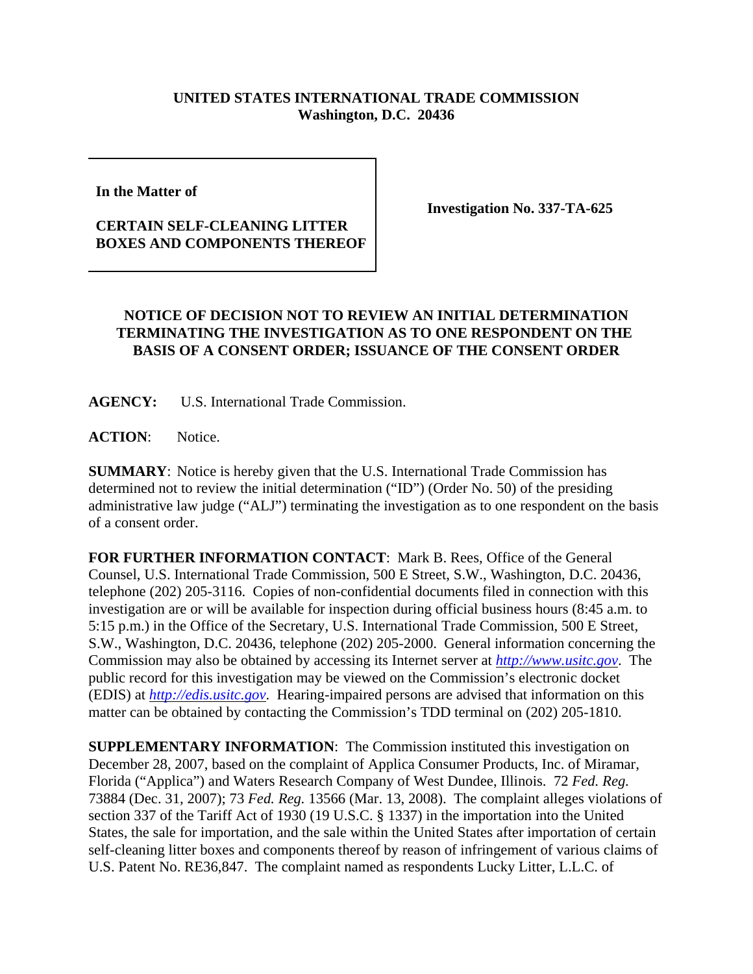## **UNITED STATES INTERNATIONAL TRADE COMMISSION Washington, D.C. 20436**

**In the Matter of** 

## **CERTAIN SELF-CLEANING LITTER BOXES AND COMPONENTS THEREOF**

**Investigation No. 337-TA-625**

## **NOTICE OF DECISION NOT TO REVIEW AN INITIAL DETERMINATION TERMINATING THE INVESTIGATION AS TO ONE RESPONDENT ON THE BASIS OF A CONSENT ORDER; ISSUANCE OF THE CONSENT ORDER**

**AGENCY:** U.S. International Trade Commission.

ACTION: Notice.

**SUMMARY**: Notice is hereby given that the U.S. International Trade Commission has determined not to review the initial determination ("ID") (Order No. 50) of the presiding administrative law judge ("ALJ") terminating the investigation as to one respondent on the basis of a consent order.

**FOR FURTHER INFORMATION CONTACT**: Mark B. Rees, Office of the General Counsel, U.S. International Trade Commission, 500 E Street, S.W., Washington, D.C. 20436, telephone (202) 205-3116. Copies of non-confidential documents filed in connection with this investigation are or will be available for inspection during official business hours (8:45 a.m. to 5:15 p.m.) in the Office of the Secretary, U.S. International Trade Commission, 500 E Street, S.W., Washington, D.C. 20436, telephone (202) 205-2000. General information concerning the Commission may also be obtained by accessing its Internet server at *http://www.usitc.gov*. The public record for this investigation may be viewed on the Commission's electronic docket (EDIS) at *http://edis.usitc.gov*. Hearing-impaired persons are advised that information on this matter can be obtained by contacting the Commission's TDD terminal on (202) 205-1810.

**SUPPLEMENTARY INFORMATION**: The Commission instituted this investigation on December 28, 2007, based on the complaint of Applica Consumer Products, Inc. of Miramar, Florida ("Applica") and Waters Research Company of West Dundee, Illinois. 72 *Fed. Reg.* 73884 (Dec. 31, 2007); 73 *Fed. Reg.* 13566 (Mar. 13, 2008). The complaint alleges violations of section 337 of the Tariff Act of 1930 (19 U.S.C. § 1337) in the importation into the United States, the sale for importation, and the sale within the United States after importation of certain self-cleaning litter boxes and components thereof by reason of infringement of various claims of U.S. Patent No. RE36,847. The complaint named as respondents Lucky Litter, L.L.C. of